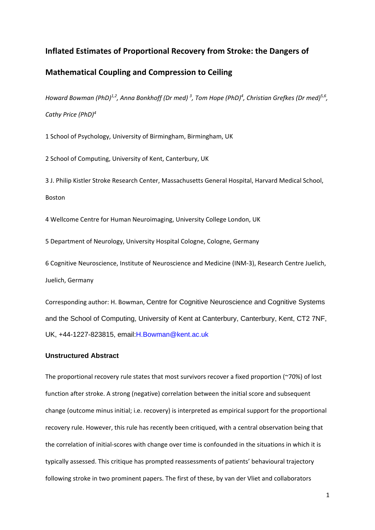## **Inflated Estimates of Proportional Recovery from Stroke: the Dangers of**

# **Mathematical Coupling and Compression to Ceiling**

*Howard Bowman (PhD)1,2 , Anna Bonkhoff (Dr med) <sup>3</sup> , Tom Hope (PhD)<sup>4</sup> , Christian Grefkes (Dr med)5,6 , Cathy Price (PhD)<sup>4</sup>*

1 School of Psychology, University of Birmingham, Birmingham, UK

2 School of Computing, University of Kent, Canterbury, UK

3 J. Philip Kistler Stroke Research Center, Massachusetts General Hospital, Harvard Medical School, Boston

4 Wellcome Centre for Human Neuroimaging, University College London, UK

5 Department of Neurology, University Hospital Cologne, Cologne, Germany

6 Cognitive Neuroscience, Institute of Neuroscience and Medicine (INM-3), Research Centre Juelich, Juelich, Germany

Corresponding author: H. Bowman, Centre for Cognitive Neuroscience and Cognitive Systems and the School of Computing, University of Kent at Canterbury, Canterbury, Kent, CT2 7NF, UK, +44-1227-823815, email:H.Bowman@kent.ac.uk

### **Unstructured Abstract**

The proportional recovery rule states that most survivors recover a fixed proportion (~70%) of lost function after stroke. A strong (negative) correlation between the initial score and subsequent change (outcome minus initial; i.e. recovery) is interpreted as empirical support for the proportional recovery rule. However, this rule has recently been critiqued, with a central observation being that the correlation of initial-scores with change over time is confounded in the situations in which it is typically assessed. This critique has prompted reassessments of patients' behavioural trajectory following stroke in two prominent papers. The first of these, by van der Vliet and collaborators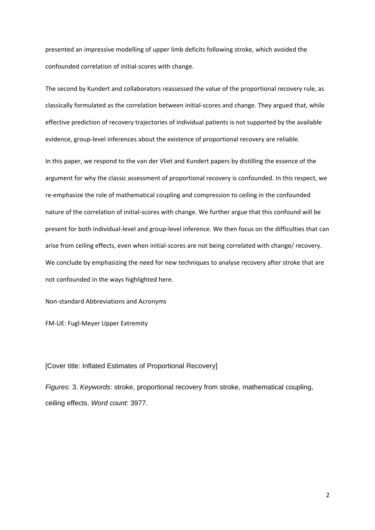presented an impressive modelling of upper limb deficits following stroke, which avoided the confounded correlation of initial-scores with change.

The second by Kundert and collaborators reassessed the value of the proportional recovery rule, as classically formulated as the correlation between initial-scores and change. They argued that, while effective prediction of recovery trajectories of individual patients is not supported by the available evidence, group-level inferences about the existence of proportional recovery are reliable.

In this paper, we respond to the van der Vliet and Kundert papers by distilling the essence of the argument for why the classic assessment of proportional recovery is confounded. In this respect, we re-emphasize the role of mathematical coupling and compression to ceiling in the confounded nature of the correlation of initial-scores with change. We further argue that this confound will be present for both individual-level and group-level inference. We then focus on the difficulties that can arise from ceiling effects, even when initial-scores are not being correlated with change/ recovery. We conclude by emphasizing the need for new techniques to analyse recovery after stroke that are not confounded in the ways highlighted here.

Non-standard Abbreviations and Acronyms

FM-UE: Fugl-Meyer Upper Extremity

### [Cover title: Inflated Estimates of Proportional Recovery]

*Figures*: 3. *Keywords*: stroke, proportional recovery from stroke, mathematical coupling, ceiling effects. *Word count*: 3977.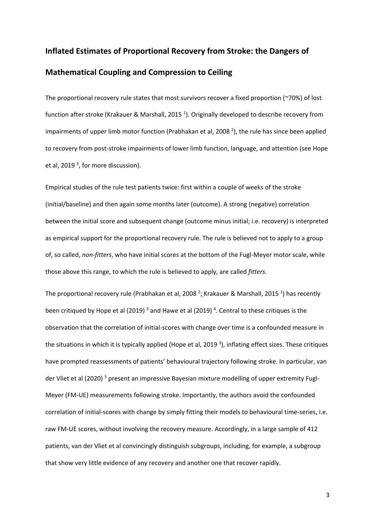# **Inflated Estimates of Proportional Recovery from Stroke: the Dangers of Mathematical Coupling and Compression to Ceiling**

The proportional recovery rule states that most survivors recover a fixed proportion (~70%) of lost function after stroke (Krakauer & Marshall, 2015<sup>1</sup>). Originally developed to describe recovery from impairments of upper limb motor function (Prabhakan et al, 2008 $^2$ ), the rule has since been applied to recovery from post-stroke impairments of lower limb function, language, and attention (see Hope et al, 2019<sup>3</sup>, for more discussion).

Empirical studies of the rule test patients twice: first within a couple of weeks of the stroke (initial/baseline) and then again some months later (outcome). A strong (negative) correlation between the initial score and subsequent change (outcome minus initial; i.e. recovery) is interpreted as empirical support for the proportional recovery rule. The rule is believed not to apply to a group of, so called, *non-fitters*, who have initial scores at the bottom of the Fugl-Meyer motor scale, while those above this range, to which the rule is believed to apply, are called *fitters*.

The proportional recovery rule (Prabhakan et al, 2008  $^2$ ; Krakauer & Marshall, 2015 <sup>1</sup>) has recently been critiqued by Hope et al (2019)<sup>3</sup> and Hawe et al (2019)<sup>4</sup>. Central to these critiques is the observation that the correlation of initial-scores with change over time is a confounded measure in the situations in which it is typically applied (Hope et al, 2019<sup>3</sup>), inflating effect sizes. These critiques have prompted reassessments of patients' behavioural trajectory following stroke. In particular, van der Vliet et al (2020) <sup>5</sup> present an impressive Bayesian mixture modelling of upper extremity Fugl-Meyer (FM-UE) measurements following stroke. Importantly, the authors avoid the confounded correlation of initial-scores with change by simply fitting their models to behavioural time-series, i.e. raw FM-UE scores, without involving the recovery measure. Accordingly, in a large sample of 412 patients, van der Vliet et al convincingly distinguish subgroups, including, for example, a subgroup that show very little evidence of any recovery and another one that recover rapidly.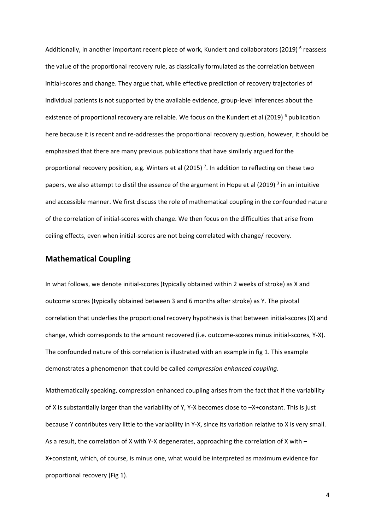Additionally, in another important recent piece of work, Kundert and collaborators (2019)<sup>6</sup> reassess the value of the proportional recovery rule, as classically formulated as the correlation between initial-scores and change. They argue that, while effective prediction of recovery trajectories of individual patients is not supported by the available evidence, group-level inferences about the existence of proportional recovery are reliable. We focus on the Kundert et al (2019)<sup>6</sup> publication here because it is recent and re-addresses the proportional recovery question, however, it should be emphasized that there are many previous publications that have similarly argued for the proportional recovery position, e.g. Winters et al (2015)<sup>7</sup>. In addition to reflecting on these two papers, we also attempt to distil the essence of the argument in Hope et al (2019)<sup>3</sup> in an intuitive and accessible manner. We first discuss the role of mathematical coupling in the confounded nature of the correlation of initial-scores with change. We then focus on the difficulties that arise from ceiling effects, even when initial-scores are not being correlated with change/ recovery.

# **Mathematical Coupling**

In what follows, we denote initial-scores (typically obtained within 2 weeks of stroke) as X and outcome scores (typically obtained between 3 and 6 months after stroke) as Y. The pivotal correlation that underlies the proportional recovery hypothesis is that between initial-scores (X) and change, which corresponds to the amount recovered (i.e. outcome-scores minus initial-scores, Y-X). The confounded nature of this correlation is illustrated with an example in fig 1. This example demonstrates a phenomenon that could be called *compression enhanced coupling*.

Mathematically speaking, compression enhanced coupling arises from the fact that if the variability of X is substantially larger than the variability of Y, Y-X becomes close to –X+constant. This is just because Y contributes very little to the variability in Y-X, since its variation relative to X is very small. As a result, the correlation of X with Y-X degenerates, approaching the correlation of X with – X+constant, which, of course, is minus one, what would be interpreted as maximum evidence for proportional recovery (Fig 1).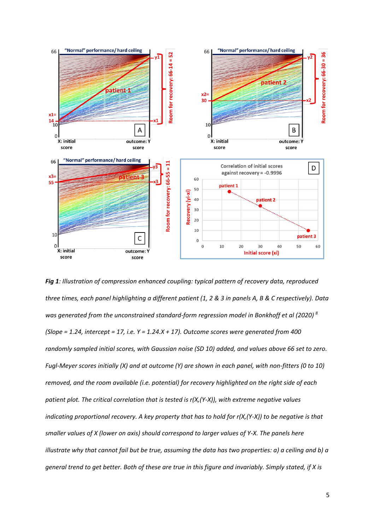

*Fig 1: Illustration of compression enhanced coupling: typical pattern of recovery data, reproduced three times, each panel highlighting a different patient (1, 2 & 3 in panels A, B & C respectively). Data was generated from the unconstrained standard-form regression model in Bonkhoff et al (2020) 8 (Slope = 1.24, intercept = 17, i.e. Y = 1.24.X + 17). Outcome scores were generated from 400 randomly sampled initial scores, with Gaussian noise (SD 10) added, and values above 66 set to zero. Fugl-Meyer scores initially (X) and at outcome (Y) are shown in each panel, with non-fitters (0 to 10) removed, and the room available (i.e. potential) for recovery highlighted on the right side of each patient plot. The critical correlation that is tested is r(X,(Y-X)), with extreme negative values indicating proportional recovery. A key property that has to hold for r(X,(Y-X)) to be negative is that smaller values of X (lower on axis) should correspond to larger values of Y-X. The panels here illustrate why that cannot fail but be true, assuming the data has two properties: a) a ceiling and b) a general trend to get better. Both of these are true in this figure and invariably. Simply stated, if X is*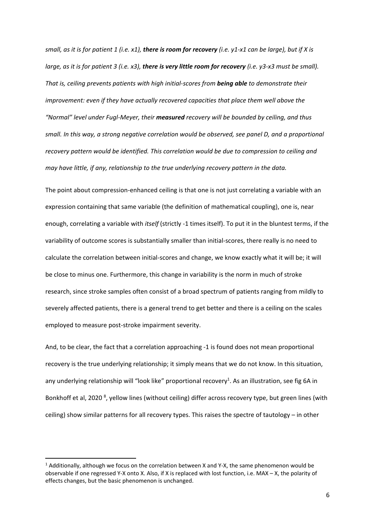*small, as it is for patient 1 (i.e. x1), there is room for recovery (i.e. y1-x1 can be large), but if X is large, as it is for patient 3 (i.e. x3), there is very little room for recovery (i.e. y3-x3 must be small). That is, ceiling prevents patients with high initial-scores from being able to demonstrate their improvement: even if they have actually recovered capacities that place them well above the "Normal" level under Fugl-Meyer, their measured recovery will be bounded by ceiling, and thus small. In this way, a strong negative correlation would be observed, see panel D, and a proportional recovery pattern would be identified. This correlation would be due to compression to ceiling and may have little, if any, relationship to the true underlying recovery pattern in the data.*

The point about compression-enhanced ceiling is that one is not just correlating a variable with an expression containing that same variable (the definition of mathematical coupling), one is, near enough, correlating a variable with *itself* (strictly -1 times itself). To put it in the bluntest terms, if the variability of outcome scores is substantially smaller than initial-scores, there really is no need to calculate the correlation between initial-scores and change, we know exactly what it will be; it will be close to minus one. Furthermore, this change in variability is the norm in much of stroke research, since stroke samples often consist of a broad spectrum of patients ranging from mildly to severely affected patients, there is a general trend to get better and there is a ceiling on the scales employed to measure post-stroke impairment severity.

And, to be clear, the fact that a correlation approaching -1 is found does not mean proportional recovery is the true underlying relationship; it simply means that we do not know. In this situation, any underlying relationship will "look like" proportional recovery<sup>1</sup>. As an illustration, see fig 6A in Bonkhoff et al, 2020<sup>8</sup>, yellow lines (without ceiling) differ across recovery type, but green lines (with ceiling) show similar patterns for all recovery types. This raises the spectre of tautology – in other

 $1$  Additionally, although we focus on the correlation between X and Y-X, the same phenomenon would be observable if one regressed Y-X onto X. Also, if X is replaced with lost function, i.e. MAX – X, the polarity of effects changes, but the basic phenomenon is unchanged.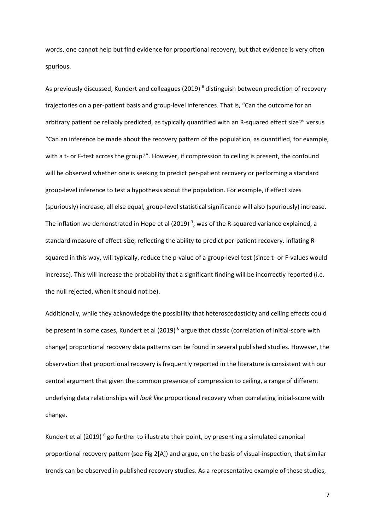words, one cannot help but find evidence for proportional recovery, but that evidence is very often spurious.

As previously discussed, Kundert and colleagues (2019)<sup>6</sup> distinguish between prediction of recovery trajectories on a per-patient basis and group-level inferences. That is, "Can the outcome for an arbitrary patient be reliably predicted, as typically quantified with an R-squared effect size?" versus "Can an inference be made about the recovery pattern of the population, as quantified, for example, with a t- or F-test across the group?". However, if compression to ceiling is present, the confound will be observed whether one is seeking to predict per-patient recovery or performing a standard group-level inference to test a hypothesis about the population. For example, if effect sizes (spuriously) increase, all else equal, group-level statistical significance will also (spuriously) increase. The inflation we demonstrated in Hope et al (2019)<sup>3</sup>, was of the R-squared variance explained, a standard measure of effect-size, reflecting the ability to predict per-patient recovery. Inflating Rsquared in this way, will typically, reduce the p-value of a group-level test (since t- or F-values would increase). This will increase the probability that a significant finding will be incorrectly reported (i.e. the null rejected, when it should not be).

Additionally, while they acknowledge the possibility that heteroscedasticity and ceiling effects could be present in some cases, Kundert et al (2019)<sup>6</sup> argue that classic (correlation of initial-score with change) proportional recovery data patterns can be found in several published studies. However, the observation that proportional recovery is frequently reported in the literature is consistent with our central argument that given the common presence of compression to ceiling, a range of different underlying data relationships will *look like* proportional recovery when correlating initial-score with change.

Kundert et al (2019)<sup>6</sup> go further to illustrate their point, by presenting a simulated canonical proportional recovery pattern (see Fig 2[A]) and argue, on the basis of visual-inspection, that similar trends can be observed in published recovery studies. As a representative example of these studies,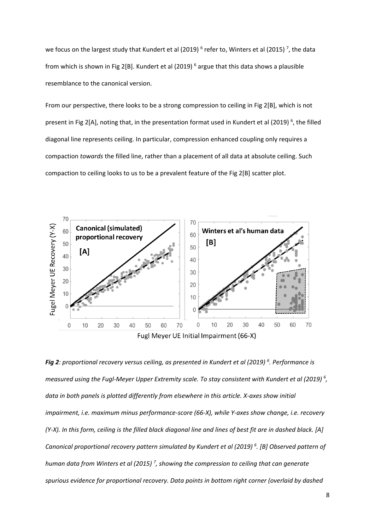we focus on the largest study that Kundert et al (2019)  $^6$  refer to, Winters et al (2015)  $^7$ , the data from which is shown in Fig 2[B]. Kundert et al (2019)  $^6$  argue that this data shows a plausible resemblance to the canonical version.

From our perspective, there looks to be a strong compression to ceiling in Fig 2[B], which is not present in Fig 2[A], noting that, in the presentation format used in Kundert et al (2019)<sup>6</sup>, the filled diagonal line represents ceiling. In particular, compression enhanced coupling only requires a compaction *towards* the filled line, rather than a placement of all data at absolute ceiling. Such compaction to ceiling looks to us to be a prevalent feature of the Fig 2[B] scatter plot.



*Fig 2: proportional recovery versus ceiling, as presented in Kundert et al (2019) <sup>6</sup> . Performance is measured using the Fugl-Meyer Upper Extremity scale. To stay consistent with Kundert et al (2019) <sup>6</sup> , data in both panels is plotted differently from elsewhere in this article. X-axes show initial impairment, i.e. maximum minus performance-score (66-X), while Y-axes show change, i.e. recovery (Y-X). In this form, ceiling is the filled black diagonal line and lines of best fit are in dashed black. [A] Canonical proportional recovery pattern simulated by Kundert et al (2019) <sup>6</sup> . [B] Observed pattern of human data from Winters et al (2015) <sup>7</sup> , showing the compression to ceiling that can generate spurious evidence for proportional recovery. Data points in bottom right corner (overlaid by dashed*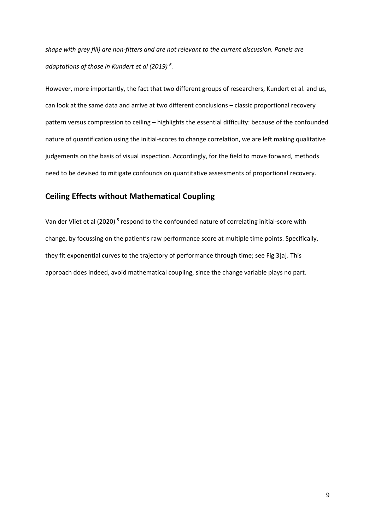*shape with grey fill) are non-fitters and are not relevant to the current discussion. Panels are adaptations of those in Kundert et al (2019) <sup>6</sup> .*

However, more importantly, the fact that two different groups of researchers, Kundert et al. and us, can look at the same data and arrive at two different conclusions – classic proportional recovery pattern versus compression to ceiling – highlights the essential difficulty: because of the confounded nature of quantification using the initial-scores to change correlation, we are left making qualitative judgements on the basis of visual inspection. Accordingly, for the field to move forward, methods need to be devised to mitigate confounds on quantitative assessments of proportional recovery.

# **Ceiling Effects without Mathematical Coupling**

Van der Vliet et al (2020)<sup>5</sup> respond to the confounded nature of correlating initial-score with change, by focussing on the patient's raw performance score at multiple time points. Specifically, they fit exponential curves to the trajectory of performance through time; see Fig 3[a]. This approach does indeed, avoid mathematical coupling, since the change variable plays no part.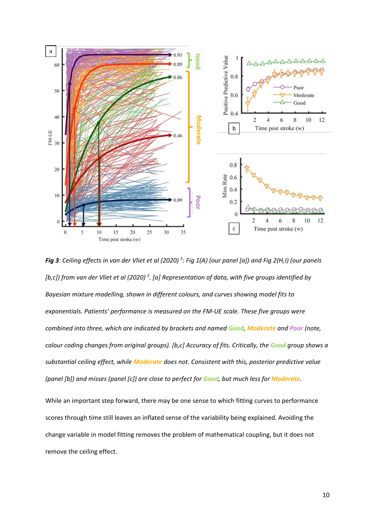

*Fig 3: Ceiling effects in van der Vliet et al (2020) <sup>5</sup> : Fig 1(A) (our panel [a]) and Fig 2(H,I) (our panels [b,c]) from van der Vliet et al (2020) <sup>5</sup> . [a] Representation of data, with five groups identified by Bayesian mixture modelling, shown in different colours, and curves showing model fits to exponentials. Patients' performance is measured on the FM-UE scale. These five groups were combined into three, which are indicated by brackets and named Good, Moderate and Poor (note, colour coding changes from original groups). [b,c] Accuracy of fits. Critically, the Good group shows a substantial ceiling effect, while Moderate does not. Consistent with this, posterior predictive value (panel [b]) and misses (panel [c]) are close to perfect for Good, but much less for Moderate.*

While an important step forward, there may be one sense to which fitting curves to performance scores through time still leaves an inflated sense of the variability being explained. Avoiding the change variable in model fitting removes the problem of mathematical coupling, but it does not remove the ceiling effect.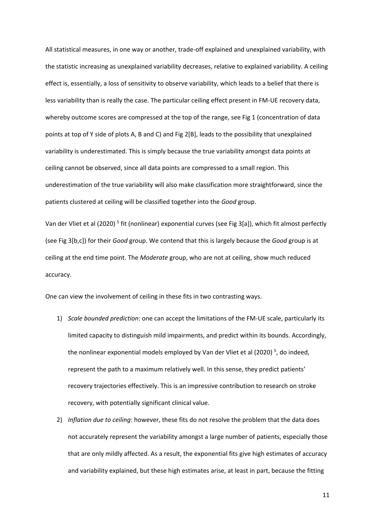All statistical measures, in one way or another, trade-off explained and unexplained variability, with the statistic increasing as unexplained variability decreases, relative to explained variability. A ceiling effect is, essentially, a loss of sensitivity to observe variability, which leads to a belief that there is less variability than is really the case. The particular ceiling effect present in FM-UE recovery data, whereby outcome scores are compressed at the top of the range, see Fig 1 (concentration of data points at top of Y side of plots A, B and C) and Fig 2[B], leads to the possibility that unexplained variability is underestimated. This is simply because the true variability amongst data points at ceiling cannot be observed, since all data points are compressed to a small region. This underestimation of the true variability will also make classification more straightforward, since the patients clustered at ceiling will be classified together into the *Good* group.

Van der Vliet et al (2020)<sup>5</sup> fit (nonlinear) exponential curves (see Fig 3[a]), which fit almost perfectly (see Fig 3[b,c]) for their *Good* group. We contend that this is largely because the *Good* group is at ceiling at the end time point. The *Moderate* group, who are not at ceiling, show much reduced accuracy.

One can view the involvement of ceiling in these fits in two contrasting ways.

- 1) *Scale bounded prediction*: one can accept the limitations of the FM-UE scale, particularly its limited capacity to distinguish mild impairments, and predict within its bounds. Accordingly, the nonlinear exponential models employed by Van der Vliet et al (2020)<sup>5</sup>, do indeed, represent the path to a maximum relatively well. In this sense, they predict patients' recovery trajectories effectively. This is an impressive contribution to research on stroke recovery, with potentially significant clinical value.
- 2) *Inflation due to ceiling*: however, these fits do not resolve the problem that the data does not accurately represent the variability amongst a large number of patients, especially those that are only mildly affected. As a result, the exponential fits give high estimates of accuracy and variability explained, but these high estimates arise, at least in part, because the fitting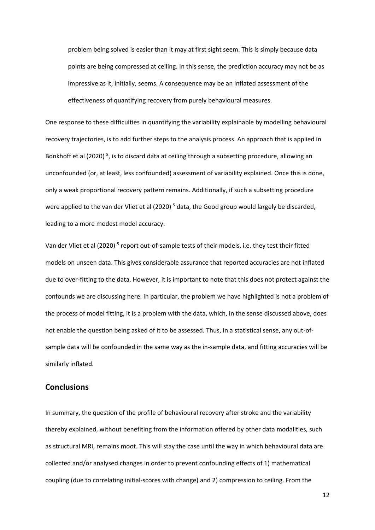problem being solved is easier than it may at first sight seem. This is simply because data points are being compressed at ceiling. In this sense, the prediction accuracy may not be as impressive as it, initially, seems. A consequence may be an inflated assessment of the effectiveness of quantifying recovery from purely behavioural measures.

One response to these difficulties in quantifying the variability explainable by modelling behavioural recovery trajectories, is to add further steps to the analysis process. An approach that is applied in Bonkhoff et al (2020)<sup>8</sup>, is to discard data at ceiling through a subsetting procedure, allowing an unconfounded (or, at least, less confounded) assessment of variability explained. Once this is done, only a weak proportional recovery pattern remains. Additionally, if such a subsetting procedure were applied to the van der Vliet et al (2020)<sup>5</sup> data, the Good group would largely be discarded, leading to a more modest model accuracy.

Van der Vliet et al (2020)<sup>5</sup> report out-of-sample tests of their models, i.e. they test their fitted models on unseen data. This gives considerable assurance that reported accuracies are not inflated due to over-fitting to the data. However, it is important to note that this does not protect against the confounds we are discussing here. In particular, the problem we have highlighted is not a problem of the process of model fitting, it is a problem with the data, which, in the sense discussed above, does not enable the question being asked of it to be assessed. Thus, in a statistical sense, any out-ofsample data will be confounded in the same way as the in-sample data, and fitting accuracies will be similarly inflated.

### **Conclusions**

In summary, the question of the profile of behavioural recovery after stroke and the variability thereby explained, without benefiting from the information offered by other data modalities, such as structural MRI, remains moot. This will stay the case until the way in which behavioural data are collected and/or analysed changes in order to prevent confounding effects of 1) mathematical coupling (due to correlating initial-scores with change) and 2) compression to ceiling. From the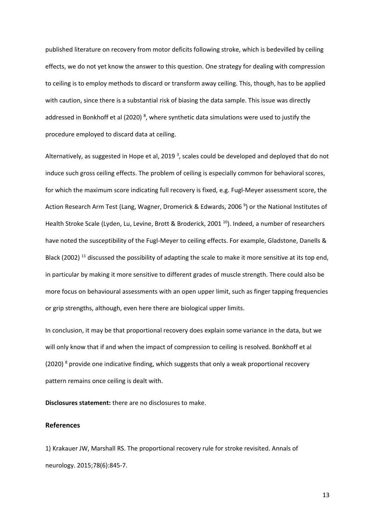published literature on recovery from motor deficits following stroke, which is bedevilled by ceiling effects, we do not yet know the answer to this question. One strategy for dealing with compression to ceiling is to employ methods to discard or transform away ceiling. This, though, has to be applied with caution, since there is a substantial risk of biasing the data sample. This issue was directly addressed in Bonkhoff et al (2020)<sup>8</sup>, where synthetic data simulations were used to justify the procedure employed to discard data at ceiling.

Alternatively, as suggested in Hope et al, 2019<sup>3</sup>, scales could be developed and deployed that do not induce such gross ceiling effects. The problem of ceiling is especially common for behavioral scores, for which the maximum score indicating full recovery is fixed, e.g. Fugl-Meyer assessment score, the Action Research Arm Test (Lang, Wagner, Dromerick & Edwards, 2006<sup>9</sup>) or the National Institutes of Health Stroke Scale (Lyden, Lu, Levine, Brott & Broderick, 2001<sup>10</sup>). Indeed, a number of researchers have noted the susceptibility of the Fugl-Meyer to ceiling effects. For example, Gladstone, Danells & Black (2002)<sup>11</sup> discussed the possibility of adapting the scale to make it more sensitive at its top end, in particular by making it more sensitive to different grades of muscle strength. There could also be more focus on behavioural assessments with an open upper limit, such as finger tapping frequencies or grip strengths, although, even here there are biological upper limits.

In conclusion, it may be that proportional recovery does explain some variance in the data, but we will only know that if and when the impact of compression to ceiling is resolved. Bonkhoff et al (2020)  $8$  provide one indicative finding, which suggests that only a weak proportional recovery pattern remains once ceiling is dealt with.

**Disclosures statement:** there are no disclosures to make.

#### **References**

1) Krakauer JW, Marshall RS. The proportional recovery rule for stroke revisited. Annals of neurology. 2015;78(6):845-7.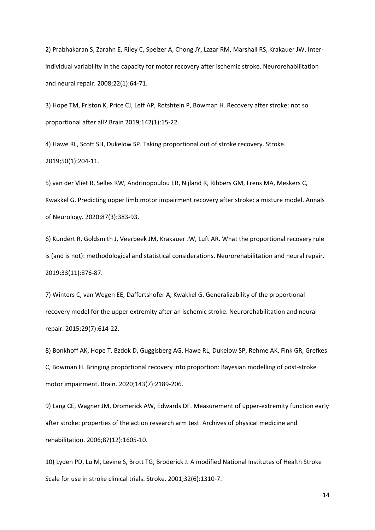2) Prabhakaran S, Zarahn E, Riley C, Speizer A, Chong JY, Lazar RM, Marshall RS, Krakauer JW. Interindividual variability in the capacity for motor recovery after ischemic stroke. Neurorehabilitation and neural repair. 2008;22(1):64-71.

3) Hope TM, Friston K, Price CJ, Leff AP, Rotshtein P, Bowman H. Recovery after stroke: not so proportional after all? Brain 2019;142(1):15-22.

4) Hawe RL, Scott SH, Dukelow SP. Taking proportional out of stroke recovery. Stroke. 2019;50(1):204-11.

5) van der Vliet R, Selles RW, Andrinopoulou ER, Nijland R, Ribbers GM, Frens MA, Meskers C, Kwakkel G. Predicting upper limb motor impairment recovery after stroke: a mixture model. Annals of Neurology. 2020;87(3):383-93.

6) Kundert R, Goldsmith J, Veerbeek JM, Krakauer JW, Luft AR. What the proportional recovery rule is (and is not): methodological and statistical considerations. Neurorehabilitation and neural repair. 2019;33(11):876-87.

7) Winters C, van Wegen EE, Daffertshofer A, Kwakkel G. Generalizability of the proportional recovery model for the upper extremity after an ischemic stroke. Neurorehabilitation and neural repair. 2015;29(7):614-22.

8) Bonkhoff AK, Hope T, Bzdok D, Guggisberg AG, Hawe RL, Dukelow SP, Rehme AK, Fink GR, Grefkes C, Bowman H. Bringing proportional recovery into proportion: Bayesian modelling of post-stroke motor impairment. Brain. 2020;143(7):2189-206.

9) Lang CE, Wagner JM, Dromerick AW, Edwards DF. Measurement of upper-extremity function early after stroke: properties of the action research arm test. Archives of physical medicine and rehabilitation. 2006;87(12):1605-10.

10) Lyden PD, Lu M, Levine S, Brott TG, Broderick J. A modified National Institutes of Health Stroke Scale for use in stroke clinical trials. Stroke. 2001;32(6):1310-7.